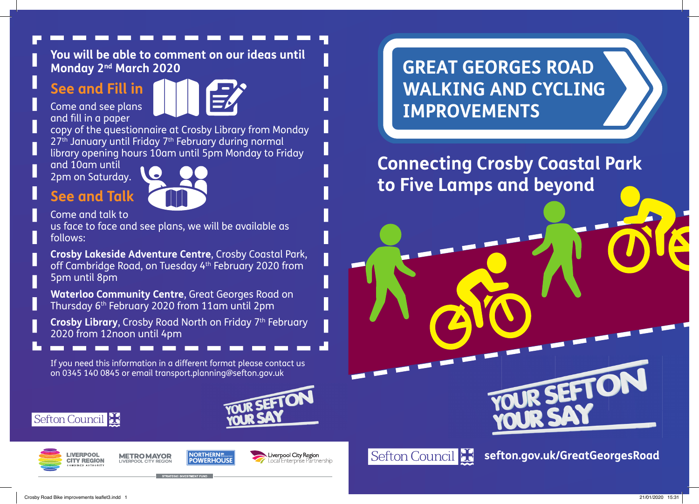#### **You will be able to comment on our ideas until Monday 2nd March 2020**

# **See and Fill in**



Come and see plans and fill in a paper

copy of the questionnaire at Crosby Library from Monday 27<sup>th</sup> January until Friday 7<sup>th</sup> February during normal library opening hours 10am until 5pm Monday to Friday

and 10am until 2pm on Saturday.

**See and Talk**



Come and talk to

us face to face and see plans, we will be available as follows:

**Crosby Lakeside Adventure Centre**, Crosby Coastal Park, off Cambridge Road, on Tuesday 4th February 2020 from 5pm until 8pm

**Waterloo Community Centre**, Great Georges Road on Thursday 6th February 2020 from 11am until 2pm

**Crosby Library, Crosby Road North on Friday 7th February** 2020 from 12noon until 4pm

If you need this information in a different format please contact us on 0345 140 0845 or email transport.planning@sefton.gov.uk



# Sefton Council



**METROMAYOR** 





**GREAT GEORGES ROAD WALKING AND CYCLING IMPROVEMENTS**

**Connecting Crosby Coastal Park to Five Lamps and beyond**



**sefton.gov.uk/GreatGeorgesRoad**

OUR SEFT